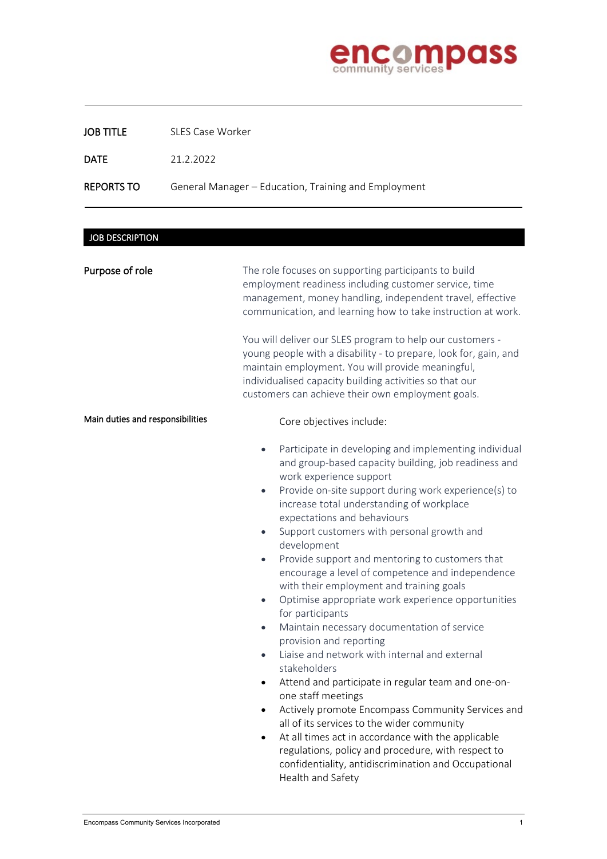

## JOB TITLE SLES Case Worker

DATE 21.2.2022

### REPORTS TO General Manager - Education, Training and Employment

# JOB DESCRIPTION

j

| Purpose of role                  | The role focuses on supporting participants to build<br>employment readiness including customer service, time<br>management, money handling, independent travel, effective<br>communication, and learning how to take instruction at work.<br>You will deliver our SLES program to help our customers -<br>young people with a disability - to prepare, look for, gain, and<br>maintain employment. You will provide meaningful,<br>individualised capacity building activities so that our<br>customers can achieve their own employment goals.                                                                                                                                                                                                                                                                                                                                                                                                                                                                                                                                                                                                                                                                            |
|----------------------------------|-----------------------------------------------------------------------------------------------------------------------------------------------------------------------------------------------------------------------------------------------------------------------------------------------------------------------------------------------------------------------------------------------------------------------------------------------------------------------------------------------------------------------------------------------------------------------------------------------------------------------------------------------------------------------------------------------------------------------------------------------------------------------------------------------------------------------------------------------------------------------------------------------------------------------------------------------------------------------------------------------------------------------------------------------------------------------------------------------------------------------------------------------------------------------------------------------------------------------------|
| Main duties and responsibilities | Core objectives include:                                                                                                                                                                                                                                                                                                                                                                                                                                                                                                                                                                                                                                                                                                                                                                                                                                                                                                                                                                                                                                                                                                                                                                                                    |
|                                  | Participate in developing and implementing individual<br>$\bullet$<br>and group-based capacity building, job readiness and<br>work experience support<br>Provide on-site support during work experience(s) to<br>$\bullet$<br>increase total understanding of workplace<br>expectations and behaviours<br>Support customers with personal growth and<br>$\bullet$<br>development<br>Provide support and mentoring to customers that<br>$\bullet$<br>encourage a level of competence and independence<br>with their employment and training goals<br>Optimise appropriate work experience opportunities<br>$\bullet$<br>for participants<br>Maintain necessary documentation of service<br>$\bullet$<br>provision and reporting<br>Liaise and network with internal and external<br>$\bullet$<br>stakeholders<br>Attend and participate in regular team and one-on-<br>$\bullet$<br>one staff meetings<br>Actively promote Encompass Community Services and<br>$\bullet$<br>all of its services to the wider community<br>At all times act in accordance with the applicable<br>$\bullet$<br>regulations, policy and procedure, with respect to<br>confidentiality, antidiscrimination and Occupational<br>Health and Safety |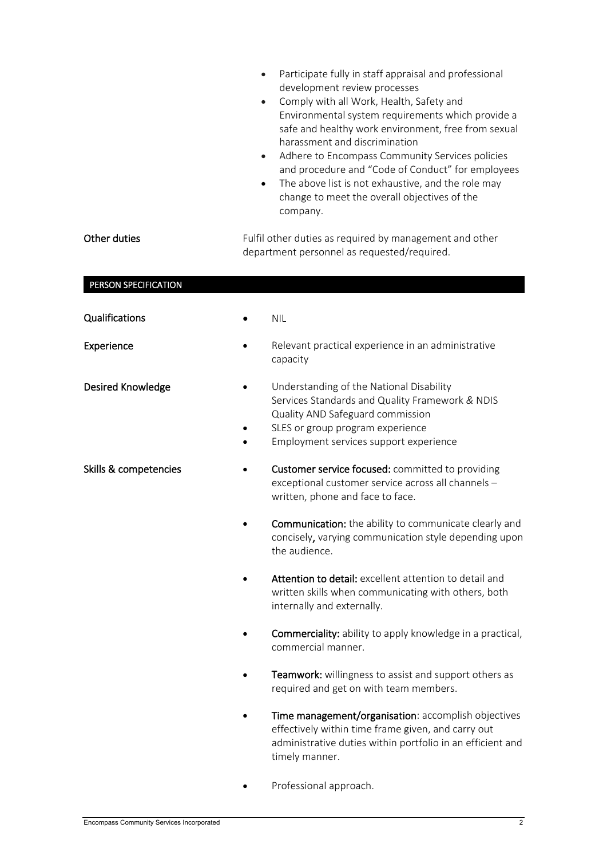|                       | Participate fully in staff appraisal and professional<br>$\bullet$<br>development review processes<br>Comply with all Work, Health, Safety and<br>$\bullet$<br>Environmental system requirements which provide a<br>safe and healthy work environment, free from sexual<br>harassment and discrimination<br>Adhere to Encompass Community Services policies<br>$\bullet$<br>and procedure and "Code of Conduct" for employees<br>The above list is not exhaustive, and the role may<br>$\bullet$<br>change to meet the overall objectives of the<br>company. |
|-----------------------|--------------------------------------------------------------------------------------------------------------------------------------------------------------------------------------------------------------------------------------------------------------------------------------------------------------------------------------------------------------------------------------------------------------------------------------------------------------------------------------------------------------------------------------------------------------|
| Other duties          | Fulfil other duties as required by management and other<br>department personnel as requested/required.                                                                                                                                                                                                                                                                                                                                                                                                                                                       |
| PERSON SPECIFICATION  |                                                                                                                                                                                                                                                                                                                                                                                                                                                                                                                                                              |
| Qualifications        | <b>NIL</b>                                                                                                                                                                                                                                                                                                                                                                                                                                                                                                                                                   |
| Experience            | Relevant practical experience in an administrative<br>capacity                                                                                                                                                                                                                                                                                                                                                                                                                                                                                               |
| Desired Knowledge     | Understanding of the National Disability<br>Services Standards and Quality Framework & NDIS<br>Quality AND Safeguard commission<br>SLES or group program experience<br>Employment services support experience                                                                                                                                                                                                                                                                                                                                                |
| Skills & competencies | Customer service focused: committed to providing<br>exceptional customer service across all channels -<br>written, phone and face to face.                                                                                                                                                                                                                                                                                                                                                                                                                   |
|                       | <b>Communication:</b> the ability to communicate clearly and<br>concisely, varying communication style depending upon<br>the audience.                                                                                                                                                                                                                                                                                                                                                                                                                       |
|                       | Attention to detail: excellent attention to detail and<br>written skills when communicating with others, both<br>internally and externally.                                                                                                                                                                                                                                                                                                                                                                                                                  |
|                       | <b>Commerciality:</b> ability to apply knowledge in a practical,<br>commercial manner.                                                                                                                                                                                                                                                                                                                                                                                                                                                                       |
|                       | Teamwork: willingness to assist and support others as<br>required and get on with team members.                                                                                                                                                                                                                                                                                                                                                                                                                                                              |
|                       | Time management/organisation: accomplish objectives<br>effectively within time frame given, and carry out<br>administrative duties within portfolio in an efficient and<br>timely manner.                                                                                                                                                                                                                                                                                                                                                                    |
|                       | Professional approach.                                                                                                                                                                                                                                                                                                                                                                                                                                                                                                                                       |